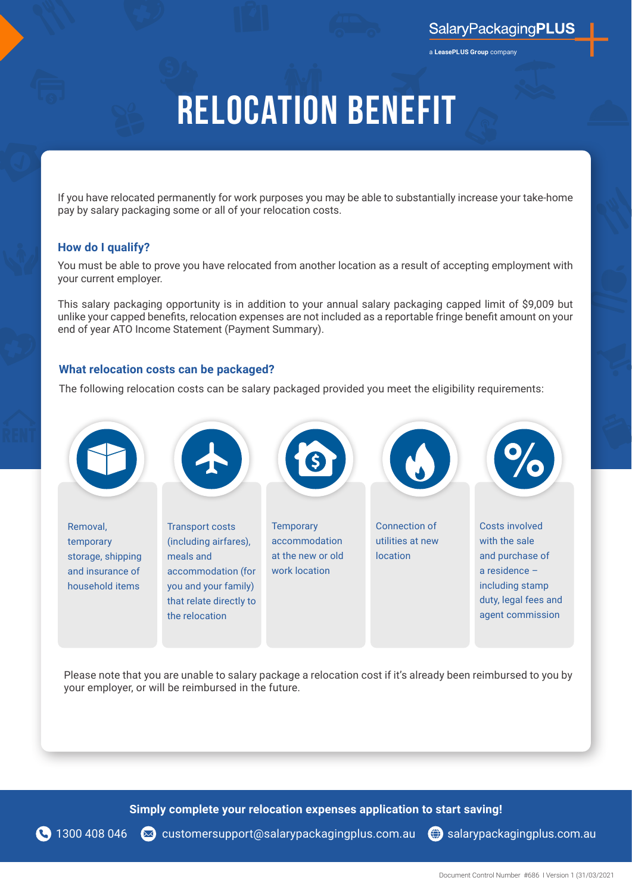a **LeasePLUS Group** company

## **Relocation Benefit**

If you have relocated permanently for work purposes you may be able to substantially increase your take-home pay by salary packaging some or all of your relocation costs.

### **How do I qualify?**

You must be able to prove you have relocated from another location as a result of accepting employment with your current employer.

This salary packaging opportunity is in addition to your annual salary packaging capped limit of \$9,009 but unlike your capped benefits, relocation expenses are not included as a reportable fringe benefit amount on your end of year ATO Income Statement (Payment Summary).

### **What relocation costs can be packaged?**

The following relocation costs can be salary packaged provided you meet the eligibility requirements:



Please note that you are unable to salary package a relocation cost if it's already been reimbursed to you by your employer, or will be reimbursed in the future.

**Simply complete your relocation expenses application to start saving!**

1300 408 046 < customersupport[@salarypackagingplus.com.au](mailto:customersupport%40salarypackagingplus.com.au?subject=Salary%20packaging%20enquiries) ( salarypackagingplus.com.au